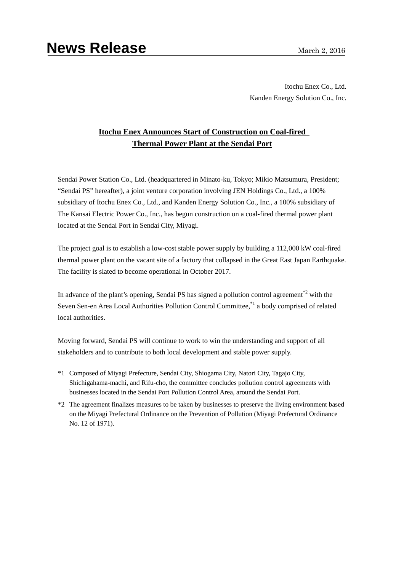Itochu Enex Co., Ltd. Kanden Energy Solution Co., Inc.

# **Itochu Enex Announces Start of Construction on Coal-fired Thermal Power Plant at the Sendai Port**

Sendai Power Station Co., Ltd. (headquartered in Minato-ku, Tokyo; Mikio Matsumura, President; "Sendai PS" hereafter), a joint venture corporation involving JEN Holdings Co., Ltd., a 100% subsidiary of Itochu Enex Co., Ltd., and Kanden Energy Solution Co., Inc., a 100% subsidiary of The Kansai Electric Power Co., Inc., has begun construction on a coal-fired thermal power plant located at the Sendai Port in Sendai City, Miyagi.

The project goal is to establish a low-cost stable power supply by building a 112,000 kW coal-fired thermal power plant on the vacant site of a factory that collapsed in the Great East Japan Earthquake. The facility is slated to become operational in October 2017.

In advance of the plant's opening, Sendai PS has signed a pollution control agreement<sup> $2$ </sup> with the Seven Sen-en Area Local Authorities Pollution Control Committee,<sup>\*1</sup> a body comprised of related local authorities.

Moving forward, Sendai PS will continue to work to win the understanding and support of all stakeholders and to contribute to both local development and stable power supply.

- \*1 Composed of Miyagi Prefecture, Sendai City, Shiogama City, Natori City, Tagajo City, Shichigahama-machi, and Rifu-cho, the committee concludes pollution control agreements with businesses located in the Sendai Port Pollution Control Area, around the Sendai Port.
- \*2 The agreement finalizes measures to be taken by businesses to preserve the living environment based on the Miyagi Prefectural Ordinance on the Prevention of Pollution (Miyagi Prefectural Ordinance No. 12 of 1971).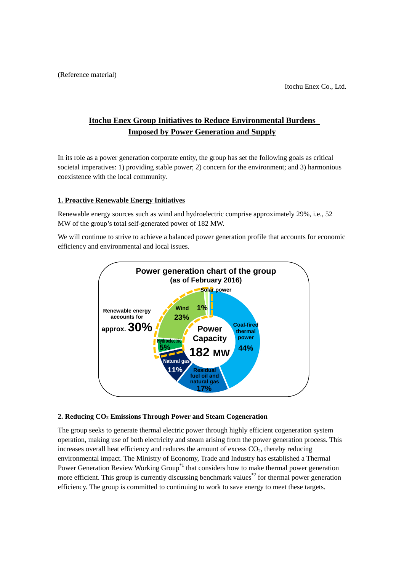# **Itochu Enex Group Initiatives to Reduce Environmental Burdens Imposed by Power Generation and Supply**

In its role as a power generation corporate entity, the group has set the following goals as critical societal imperatives: 1) providing stable power; 2) concern for the environment; and 3) harmonious coexistence with the local community.

## **1. Proactive Renewable Energy Initiatives**

Renewable energy sources such as wind and hydroelectric comprise approximately 29%, i.e., 52 MW of the group's total self-generated power of 182 MW.

We will continue to strive to achieve a balanced power generation profile that accounts for economic efficiency and environmental and local issues.



### **2. Reducing CO2 Emissions Through Power and Steam Cogeneration**

The group seeks to generate thermal electric power through highly efficient cogeneration system operation, making use of both electricity and steam arising from the power generation process. This increases overall heat efficiency and reduces the amount of excess  $CO<sub>2</sub>$ , thereby reducing environmental impact. The Ministry of Economy, Trade and Industry has established a Thermal Power Generation Review Working Group<sup>\*1</sup> that considers how to make thermal power generation more efficient. This group is currently discussing benchmark values<sup>\*2</sup> for thermal power generation efficiency. The group is committed to continuing to work to save energy to meet these targets.